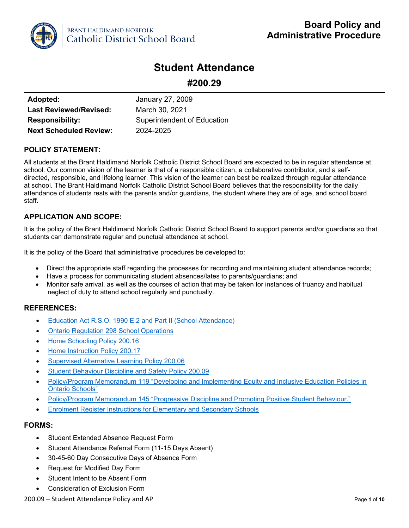

# **Student Attendance**

| #200.29 |  |
|---------|--|
|---------|--|

| Adopted:                      | January 27, 2009            |
|-------------------------------|-----------------------------|
| <b>Last Reviewed/Revised:</b> | March 30, 2021              |
| <b>Responsibility:</b>        | Superintendent of Education |
| <b>Next Scheduled Review:</b> | 2024-2025                   |

## **POLICY STATEMENT:**

All students at the Brant Haldimand Norfolk Catholic District School Board are expected to be in regular attendance at school. Our common vision of the learner is that of a responsible citizen, a collaborative contributor, and a selfdirected, responsible, and lifelong learner. This vision of the learner can best be realized through regular attendance at school. The Brant Haldimand Norfolk Catholic District School Board believes that the responsibility for the daily attendance of students rests with the parents and/or guardians, the student where they are of age, and school board staff.

## **APPLICATION AND SCOPE:**

It is the policy of the Brant Haldimand Norfolk Catholic District School Board to support parents and/or guardians so that students can demonstrate regular and punctual attendance at school.

It is the policy of the Board that administrative procedures be developed to:

- Direct the appropriate staff regarding the processes for recording and maintaining student attendance records;
- Have a process for communicating student absences/lates to parents/guardians; and
- Monitor safe arrival, as well as the courses of action that may be taken for instances of truancy and habitual neglect of duty to attend school regularly and punctually.

## **REFERENCES:**

- [Education Act R.S.O. 1990 E.2 and Part II \(School Attendance\)](https://www.ontario.ca/laws/statute/90e02)
- [Ontario Regulation 298 School Operations](https://www.ontario.ca/laws/regulation/900298)
- [Home Schooling Policy 200.16](http://www.bhncdsb.ca/sites/content/files/resources/200.16%20Home%20Schooling.pdf)
- [Home Instruction Policy 200.17](http://www.bhncdsb.ca/sites/content/files/resources/200.17%20Home%20Instruction.pdf)
- [Supervised Alternative Learning Policy 200.06](http://www.bhncdsb.ca/sites/content/files/resources/Supervised%20Alternative%20Learning%20200.06.pdf)
- [Student Behaviour Discipline and Safety Policy 200.09](http://www.bhncdsb.ca/sites/content/files/resources/200.09%20Student%20Behaviour%20Discipline%20and%20Safety%20Policy%20AP.pdf)
- [Policy/Program Memorandum 119 "Developing and Implementing Equity and Inclusive Education Policies in](http://www.edu.gov.on.ca/extra/eng/ppm/119.pdf)  [Ontario Schools"](http://www.edu.gov.on.ca/extra/eng/ppm/119.pdf)
- [Policy/Program Memorandum 145 "Progressive Discipline and Promoting Positive Student Behaviour."](http://www.edu.gov.on.ca/extra/eng/ppm/ppm.html)
- [Enrolment Register Instructions for Elementary and Secondary Schools](http://www.edu.gov.on.ca/eng/policyfunding/forms.html)

## **FORMS:**

- Student Extended Absence Request Form
- Student Attendance Referral Form (11-15 Days Absent)
- 30-45-60 Day Consecutive Days of Absence Form
- Request for Modified Day Form
- Student Intent to be Absent Form
- Consideration of Exclusion Form

#### 200.09 – Student Attendance Policy and AP Page **1** of **10**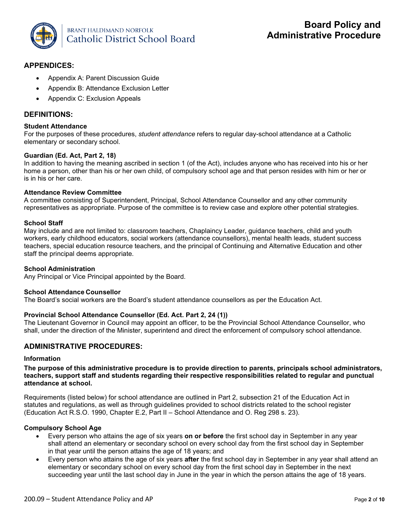

## **APPENDICES:**

- Appendix A: Parent Discussion Guide
- Appendix B: Attendance Exclusion Letter
- Appendix C: Exclusion Appeals

## **DEFINITIONS:**

#### **Student Attendance**

For the purposes of these procedures, *student attendance* refers to regular day-school attendance at a Catholic elementary or secondary school.

### **Guardian (Ed. Act, Part 2, 18)**

In addition to having the meaning ascribed in section 1 (of the Act), includes anyone who has received into his or her home a person, other than his or her own child, of compulsory school age and that person resides with him or her or is in his or her care.

### **Attendance Review Committee**

A committee consisting of Superintendent, Principal, School Attendance Counsellor and any other community representatives as appropriate. Purpose of the committee is to review case and explore other potential strategies.

#### **School Staff**

May include and are not limited to: classroom teachers, Chaplaincy Leader, guidance teachers, child and youth workers, early childhood educators, social workers (attendance counsellors), mental health leads, student success teachers, special education resource teachers, and the principal of Continuing and Alternative Education and other staff the principal deems appropriate.

#### **School Administration**

Any Principal or Vice Principal appointed by the Board.

#### **School Attendance Counsellor**

The Board's social workers are the Board's student attendance counsellors as per the Education Act.

#### **Provincial School Attendance Counsellor (Ed. Act. Part 2, 24 (1))**

The Lieutenant Governor in Council may appoint an officer, to be the Provincial School Attendance Counsellor, who shall, under the direction of the Minister, superintend and direct the enforcement of compulsory school attendance.

## **ADMINISTRATIVE PROCEDURES:**

#### **Information**

#### **The purpose of this administrative procedure is to provide direction to parents, principals school administrators, teachers, support staff and students regarding their respective responsibilities related to regular and punctual attendance at school.**

Requirements (listed below) for school attendance are outlined in Part 2, subsection 21 of the Education Act in statutes and regulations, as well as through guidelines provided to school districts related to the school register (Education Act R.S.O. 1990, Chapter E.2, Part II – School Attendance and O. Reg 298 s. 23).

## **Compulsory School Age**

- Every person who attains the age of six years **on or before** the first school day in September in any year shall attend an elementary or secondary school on every school day from the first school day in September in that year until the person attains the age of 18 years; and
- Every person who attains the age of six years **after** the first school day in September in any year shall attend an elementary or secondary school on every school day from the first school day in September in the next succeeding year until the last school day in June in the year in which the person attains the age of 18 years.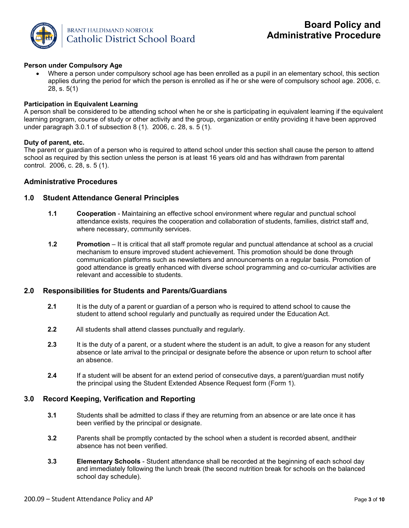

### **Person under Compulsory Age**

• Where a person under compulsory school age has been enrolled as a pupil in an elementary school, this section applies during the period for which the person is enrolled as if he or she were of compulsory school age. 2006, c. 28, s. 5(1)

#### **Participation in Equivalent Learning**

A person shall be considered to be attending school when he or she is participating in equivalent learning if the equivalent learning program, course of study or other activity and the group, organization or entity providing it have been approved under paragraph 3.0.1 of subsection 8 (1). 2006, c. 28, s. 5 (1).

#### **Duty of parent, etc.**

The parent or guardian of a person who is required to attend school under this section shall cause the person to attend school as required by this section unless the person is at least 16 years old and has withdrawn from parental control. 2006, c. 28, s. 5 (1).

#### **Administrative Procedures**

#### **1.0 Student Attendance General Principles**

- **1.1 Cooperation**  Maintaining an effective school environment where regular and punctual school attendance exists, requires the cooperation and collaboration of students, families, district staff and, where necessary, community services.
- **1.2 Promotion**  It is critical that all staff promote regular and punctual attendance at school as a crucial mechanism to ensure improved student achievement. This promotion should be done through communication platforms such as newsletters and announcements on a regular basis. Promotion of good attendance is greatly enhanced with diverse school programming and co-curricular activities are relevant and accessible to students.

## **2.0 Responsibilities for Students and Parents/Guardians**

- **2.1** It is the duty of a parent or guardian of a person who is required to attend school to cause the student to attend school regularly and punctually as required under the Education Act.
- **2.2** All students shall attend classes punctually and regularly.
- **2.3** It is the duty of a parent, or a student where the student is an adult, to give a reason for any student absence or late arrival to the principal or designate before the absence or upon return to school after an absence.
- **2.4** If a student will be absent for an extend period of consecutive days, a parent/guardian must notify the principal using the Student Extended Absence Request form (Form 1).

#### **3.0 Record Keeping, Verification and Reporting**

- **3.1** Students shall be admitted to class if they are returning from an absence or are late once it has been verified by the principal or designate.
- **3.2** Parents shall be promptly contacted by the school when a student is recorded absent, andtheir absence has not been verified.
- **3.3 Elementary Schools**  Student attendance shall be recorded at the beginning of each school day and immediately following the lunch break (the second nutrition break for schools on the balanced school day schedule).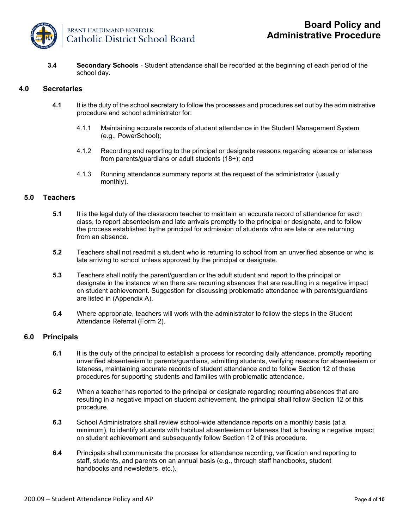

**3.4 Secondary Schools** - Student attendance shall be recorded at the beginning of each period of the school day.

## **4.0 Secretaries**

- **4.1** It is the duty of the school secretary to follow the processes and procedures set out by the administrative procedure and school administrator for:
	- 4.1.1 Maintaining accurate records of student attendance in the Student Management System (e.g., PowerSchool);
	- 4.1.2 Recording and reporting to the principal or designate reasons regarding absence or lateness from parents/guardians or adult students (18+); and
	- 4.1.3 Running attendance summary reports at the request of the administrator (usually monthly).

#### **5.0 Teachers**

- **5.1** It is the legal duty of the classroom teacher to maintain an accurate record of attendance for each class, to report absenteeism and late arrivals promptly to the principal or designate, and to follow the process established bythe principal for admission of students who are late or are returning from an absence.
- **5.2** Teachers shall not readmit a student who is returning to school from an unverified absence or who is late arriving to school unless approved by the principal or designate.
- **5.3** Teachers shall notify the parent/guardian or the adult student and report to the principal or designate in the instance when there are recurring absences that are resulting in a negative impact on student achievement. Suggestion for discussing problematic attendance with parents/guardians are listed in (Appendix A).
- **5.4** Where appropriate, teachers will work with the administrator to follow the steps in the Student Attendance Referral (Form 2).

## **6.0 Principals**

- **6.1** It is the duty of the principal to establish a process for recording daily attendance, promptly reporting unverified absenteeism to parents/guardians, admitting students, verifying reasons for absenteeism or lateness, maintaining accurate records of student attendance and to follow Section 12 of these procedures for supporting students and families with problematic attendance.
- **6.2** When a teacher has reported to the principal or designate regarding recurring absences that are resulting in a negative impact on student achievement, the principal shall follow Section 12 of this procedure.
- **6.3** School Administrators shall review school-wide attendance reports on a monthly basis (at a minimum), to identify students with habitual absenteeism or lateness that is having a negative impact on student achievement and subsequently follow Section 12 of this procedure.
- **6.4** Principals shall communicate the process for attendance recording, verification and reporting to staff, students, and parents on an annual basis (e.g., through staff handbooks, student handbooks and newsletters, etc.).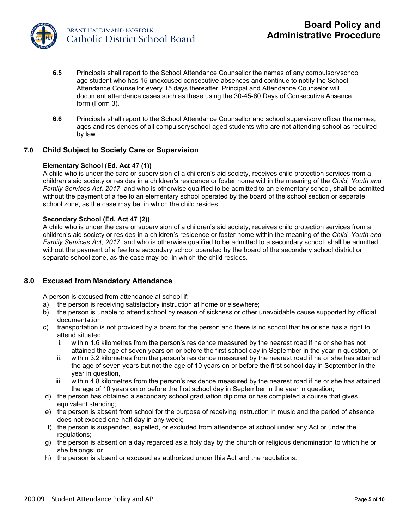

- **6.5** Principals shall report to the School Attendance Counsellor the names of any compulsoryschool age student who has 15 unexcused consecutive absences and continue to notify the School Attendance Counsellor every 15 days thereafter. Principal and Attendance Counselor will document attendance cases such as these using the 30-45-60 Days of Consecutive Absence form (Form 3).
- **6.6** Principals shall report to the School Attendance Counsellor and school supervisory officer the names, ages and residences of all compulsoryschool-aged students who are not attending school as required by law.

### **7.0 Child Subject to Society Care or Supervision**

#### **Elementary School (Ed. Act** 47 **(1))**

A child who is under the care or supervision of a children's aid society, receives child protection services from a children's aid society or resides in a children's residence or foster home within the meaning of the *Child, Youth and Family Services Act, 2017*, and who is otherwise qualified to be admitted to an elementary school, shall be admitted without the payment of a fee to an elementary school operated by the board of the school section or separate school zone, as the case may be, in which the child resides.

#### **Secondary School (Ed. Act 47 (2))**

A child who is under the care or supervision of a children's aid society, receives child protection services from a children's aid society or resides in a children's residence or foster home within the meaning of the *Child, Youth and Family Services Act, 2017*, and who is otherwise qualified to be admitted to a secondary school, shall be admitted without the payment of a fee to a secondary school operated by the board of the secondary school district or separate school zone, as the case may be, in which the child resides.

#### **8.0 Excused from Mandatory Attendance**

A person is excused from attendance at school if:

- a) the person is receiving satisfactory instruction at home or elsewhere;
- b) the person is unable to attend school by reason of sickness or other unavoidable cause supported by official documentation;
- c) transportation is not provided by a board for the person and there is no school that he or she has a right to attend situated,
	- i. within 1.6 kilometres from the person's residence measured by the nearest road if he or she has not attained the age of seven years on or before the first school day in September in the year in question, or
	- ii. within 3.2 kilometres from the person's residence measured by the nearest road if he or she has attained the age of seven years but not the age of 10 years on or before the first school day in September in the year in question,
	- iii. within 4.8 kilometres from the person's residence measured by the nearest road if he or she has attained the age of 10 years on or before the first school day in September in the year in question;
- d) the person has obtained a secondary school graduation diploma or has completed a course that gives equivalent standing;
- e) the person is absent from school for the purpose of receiving instruction in music and the period of absence does not exceed one-half day in any week;
- f) the person is suspended, expelled, or excluded from attendance at school under any Act or under the regulations:
- g) the person is absent on a day regarded as a holy day by the church or religious denomination to which he or she belongs; or
- h) the person is absent or excused as authorized under this Act and the regulations.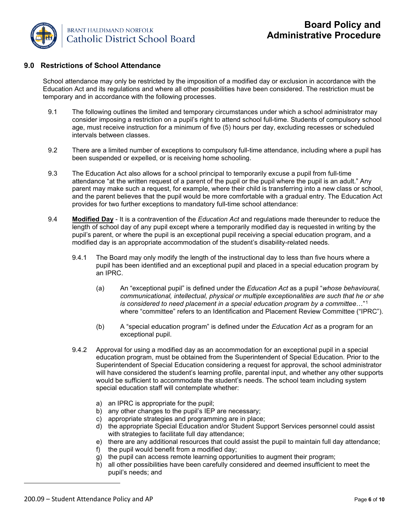

## **9.0 Restrictions of School Attendance**

School attendance may only be restricted by the imposition of a modified day or exclusion in accordance with the Education Act and its regulations and where all other possibilities have been considered. The restriction must be temporary and in accordance with the following processes.

- 9.1 The following outlines the limited and temporary circumstances under which a school administrator may consider imposing a restriction on a pupil's right to attend school full-time. Students of compulsory school age, must receive instruction for a minimum of five (5) hours per day, excluding recesses or scheduled intervals between classes.
- 9.2 There are a limited number of exceptions to compulsory full-time attendance, including where a pupil has been suspended or expelled, or is receiving home schooling.
- 9.3 The Education Act also allows for a school principal to temporarily excuse a pupil from full-time attendance "at the written request of a parent of the pupil or the pupil where the pupil is an adult." Any parent may make such a request, for example, where their child is transferring into a new class or school, and the parent believes that the pupil would be more comfortable with a gradual entry. The Education Act provides for two further exceptions to mandatory full-time school attendance:
- <span id="page-5-0"></span>9.4 **Modified Day** - It is a contravention of the *Education Act* and regulations made thereunder to reduce the length of school day of any pupil except where a temporarily modified day is requested in writing by the pupil's parent, or where the pupil is an exceptional pupil receiving a special education program, and a modified day is an appropriate accommodation of the student's disability-related needs.
	- 9.4.1 The Board may only modify the length of the instructional day to less than five hours where a pupil has been identified and an exceptional pupil and placed in a special education program by an IPRC.
		- (a) An "exceptional pupil" is defined under the *Education Act* as a pupil "*whose behavioural, communicational, intellectual, physical or multiple exceptionalities are such that he or she is considered to need placement in a special education program by a committee*…"[1](#page-5-0) where "committee" refers to an Identification and Placement Review Committee ("IPRC").
		- (b) A "special education program" is defined under the *Education Act* as a program for an exceptional pupil.
	- 9.4.2 Approval for using a modified day as an accommodation for an exceptional pupil in a special education program, must be obtained from the Superintendent of Special Education. Prior to the Superintendent of Special Education considering a request for approval, the school administrator will have considered the student's learning profile, parental input, and whether any other supports would be sufficient to accommodate the student's needs. The school team including system special education staff will contemplate whether:
		- a) an IPRC is appropriate for the pupil;
		- b) any other changes to the pupil's IEP are necessary;
		- c) appropriate strategies and programming are in place;
		- d) the appropriate Special Education and/or Student Support Services personnel could assist with strategies to facilitate full day attendance;
		- e) there are any additional resources that could assist the pupil to maintain full day attendance;
		- f) the pupil would benefit from a modified day;
		- g) the pupil can access remote learning opportunities to augment their program;
		- h) all other possibilities have been carefully considered and deemed insufficient to meet the pupil's needs; and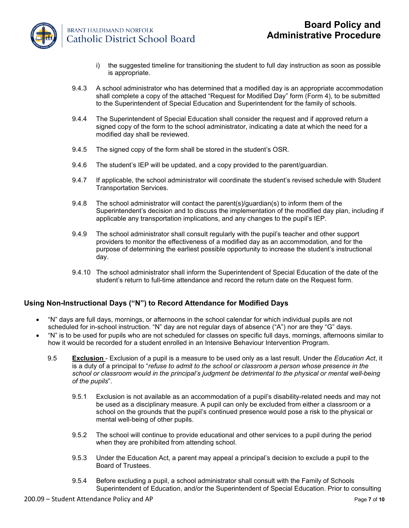

**BRANT HALDIMAND NORFOLK** Catholic District School Board

- i) the suggested timeline for transitioning the student to full day instruction as soon as possible is appropriate.
- 9.4.3 A school administrator who has determined that a modified day is an appropriate accommodation shall complete a copy of the attached "Request for Modified Day" form (Form 4), to be submitted to the Superintendent of Special Education and Superintendent for the family of schools.
- 9.4.4 The Superintendent of Special Education shall consider the request and if approved return a signed copy of the form to the school administrator, indicating a date at which the need for a modified day shall be reviewed.
- 9.4.5 The signed copy of the form shall be stored in the student's OSR.
- 9.4.6 The student's IEP will be updated, and a copy provided to the parent/guardian.
- 9.4.7 If applicable, the school administrator will coordinate the student's revised schedule with Student Transportation Services.
- 9.4.8 The school administrator will contact the parent(s)/guardian(s) to inform them of the Superintendent's decision and to discuss the implementation of the modified day plan, including if applicable any transportation implications, and any changes to the pupil's IEP.
- 9.4.9 The school administrator shall consult regularly with the pupil's teacher and other support providers to monitor the effectiveness of a modified day as an accommodation, and for the purpose of determining the earliest possible opportunity to increase the student's instructional day.
- 9.4.10 The school administrator shall inform the Superintendent of Special Education of the date of the student's return to full-time attendance and record the return date on the Request form.

## **Using Non-Instructional Days ("N") to Record Attendance for Modified Days**

- "N" days are full days, mornings, or afternoons in the school calendar for which individual pupils are not scheduled for in-school instruction. "N" day are not regular days of absence ("A") nor are they "G" days.
- "N" is to be used for pupils who are not scheduled for classes on specific full days, mornings, afternoons similar to how it would be recorded for a student enrolled in an Intensive Behaviour Intervention Program.
	- 9.5 **Exclusion**  Exclusion of a pupil is a measure to be used only as a last result. Under the *Education Act*, it is a duty of a principal to "*refuse to admit to the school or classroom a person whose presence in the school or classroom would in the principal's judgment be detrimental to the physical or mental well-being of the pupils*".
		- 9.5.1 Exclusion is not available as an accommodation of a pupil's disability-related needs and may not be used as a disciplinary measure. A pupil can only be excluded from either a classroom or a school on the grounds that the pupil's continued presence would pose a risk to the physical or mental well-being of other pupils.
		- 9.5.2 The school will continue to provide educational and other services to a pupil during the period when they are prohibited from attending school.
		- 9.5.3 Under the Education Act, a parent may appeal a principal's decision to exclude a pupil to the Board of Trustees.
		- 9.5.4 Before excluding a pupil, a school administrator shall consult with the Family of Schools Superintendent of Education, and/or the Superintendent of Special Education. Prior to consulting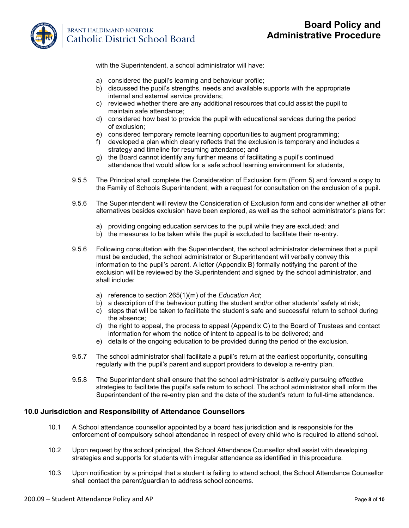

## **BRANT HALDIMAND NORFOLK Catholic District School Board**

with the Superintendent, a school administrator will have:

- a) considered the pupil's learning and behaviour profile;
- b) discussed the pupil's strengths, needs and available supports with the appropriate internal and external service providers;
- c) reviewed whether there are any additional resources that could assist the pupil to maintain safe attendance;
- d) considered how best to provide the pupil with educational services during the period of exclusion;
- e) considered temporary remote learning opportunities to augment programming;
- f) developed a plan which clearly reflects that the exclusion is temporary and includes a strategy and timeline for resuming attendance; and
- g) the Board cannot identify any further means of facilitating a pupil's continued attendance that would allow for a safe school learning environment for students,
- 9.5.5 The Principal shall complete the Consideration of Exclusion form (Form 5) and forward a copy to the Family of Schools Superintendent, with a request for consultation on the exclusion of a pupil.
- 9.5.6 The Superintendent will review the Consideration of Exclusion form and consider whether all other alternatives besides exclusion have been explored, as well as the school administrator's plans for:
	- a) providing ongoing education services to the pupil while they are excluded; and
	- b) the measures to be taken while the pupil is excluded to facilitate their re-entry.
- 9.5.6 Following consultation with the Superintendent, the school administrator determines that a pupil must be excluded, the school administrator or Superintendent will verbally convey this information to the pupil's parent. A letter (Appendix B) formally notifying the parent of the exclusion will be reviewed by the Superintendent and signed by the school administrator, and shall include:
	- a) reference to section 265(1)(m) of the *Education Act*;
	- b) a description of the behaviour putting the student and/or other students' safety at risk;
	- c) steps that will be taken to facilitate the student's safe and successful return to school during the absence;
	- d) the right to appeal, the process to appeal (Appendix C) to the Board of Trustees and contact information for whom the notice of intent to appeal is to be delivered; and
	- e) details of the ongoing education to be provided during the period of the exclusion.
- 9.5.7 The school administrator shall facilitate a pupil's return at the earliest opportunity, consulting regularly with the pupil's parent and support providers to develop a re-entry plan.
- 9.5.8 The Superintendent shall ensure that the school administrator is actively pursuing effective strategies to facilitate the pupil's safe return to school. The school administrator shall inform the Superintendent of the re-entry plan and the date of the student's return to full-time attendance.

#### **10.0 Jurisdiction and Responsibility of Attendance Counsellors**

- 10.1 A School attendance counsellor appointed by a board has jurisdiction and is responsible for the enforcement of compulsory school attendance in respect of every child who is required to attend school.
- 10.2 Upon request by the school principal, the School Attendance Counsellor shall assist with developing strategies and supports for students with irregular attendance as identified in this procedure.
- 10.3 Upon notification by a principal that a student is failing to attend school, the School Attendance Counsellor shall contact the parent/guardian to address school concerns.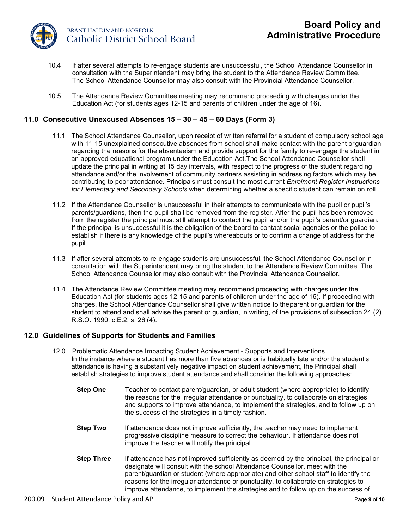

- 10.4 If after several attempts to re-engage students are unsuccessful, the School Attendance Counsellor in consultation with the Superintendent may bring the student to the Attendance Review Committee. The School Attendance Counsellor may also consult with the Provincial Attendance Counsellor.
- 10.5 The Attendance Review Committee meeting may recommend proceeding with charges under the Education Act (for students ages 12-15 and parents of children under the age of 16).

## **11.0 Consecutive Unexcused Absences 15 – 30 – 45 – 60 Days (Form 3)**

- 11.1 The School Attendance Counsellor, upon receipt of written referral for a student of compulsory school age with 11-15 unexplained consecutive absences from school shall make contact with the parent orguardian regarding the reasons for the absenteeism and provide support for the family to re-engage the student in an approved educational program under the Education Act.The School Attendance Counsellor shall update the principal in writing at 15 day intervals, with respect to the progress of the student regarding attendance and/or the involvement of community partners assisting in addressing factors which may be contributing to poor attendance. Principals must consult the most current *Enrolment Register Instructions for Elementary and Secondary Schools* when determining whether a specific student can remain on roll.
- 11.2 If the Attendance Counsellor is unsuccessful in their attempts to communicate with the pupil or pupil's parents/guardians, then the pupil shall be removed from the register. After the pupil has been removed from the register the principal must still attempt to contact the pupil and/or the pupil's parent/or guardian. If the principal is unsuccessful it is the obligation of the board to contact social agencies or the police to establish if there is any knowledge of the pupil's whereabouts or to confirm a change of address for the pupil.
- 11.3 If after several attempts to re-engage students are unsuccessful, the School Attendance Counsellor in consultation with the Superintendent may bring the student to the Attendance Review Committee. The School Attendance Counsellor may also consult with the Provincial Attendance Counsellor.
- 11.4 The Attendance Review Committee meeting may recommend proceeding with charges under the Education Act (for students ages 12-15 and parents of children under the age of 16). If proceeding with charges, the School Attendance Counsellor shall give written notice to theparent or guardian for the student to attend and shall advise the parent or guardian, in writing, of the provisions of subsection 24 (2). R.S.O. 1990, c.E.2, s. 26 (4).

## **12.0 Guidelines of Supports for Students and Families**

- 12.0 Problematic Attendance Impacting Student Achievement Supports and Interventions In the instance where a student has more than five absences or is habitually late and/or the student's attendance is having a substantively negative impact on student achievement, the Principal shall establish strategies to improve student attendance and shall consider the following approaches:
	- **Step One** Teacher to contact parent/guardian, or adult student (where appropriate) to identify the reasons for the irregular attendance or punctuality, to collaborate on strategies and supports to improve attendance, to implement the strategies, and to follow up on the success of the strategies in a timely fashion.
	- **Step Two** If attendance does not improve sufficiently, the teacher may need to implement progressive discipline measure to correct the behaviour. If attendance does not improve the teacher will notify the principal.
	- **Step Three** If attendance has not improved sufficiently as deemed by the principal, the principal or designate will consult with the school Attendance Counsellor, meet with the parent/guardian or student (where appropriate) and other school staff to identify the reasons for the irregular attendance or punctuality, to collaborate on strategies to improve attendance, to implement the strategies and to follow up on the success of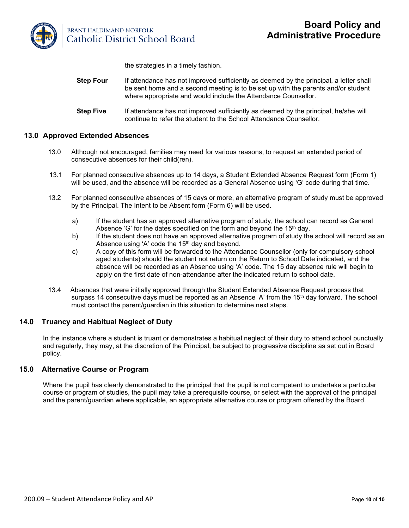

**BRANT HALDIMAND NORFOLK** Catholic District School Board

the strategies in a timely fashion.

- **Step Four** If attendance has not improved sufficiently as deemed by the principal, a letter shall be sent home and a second meeting is to be set up with the parents and/or student where appropriate and would include the Attendance Counsellor.
- **Step Five** If attendance has not improved sufficiently as deemed by the principal, he/she will continue to refer the student to the School Attendance Counsellor.

## **13.0 Approved Extended Absences**

- 13.0 Although not encouraged, families may need for various reasons, to request an extended period of consecutive absences for their child(ren).
- 13.1 For planned consecutive absences up to 14 days, a Student Extended Absence Request form (Form 1) will be used, and the absence will be recorded as a General Absence using 'G' code during that time.
- 13.2 For planned consecutive absences of 15 days or more, an alternative program of study must be approved by the Principal. The Intent to be Absent form (Form 6) will be used.
	- a) If the student has an approved alternative program of study, the school can record as General Absence 'G' for the dates specified on the form and beyond the  $15<sup>th</sup>$  day.
	- b) If the student does not have an approved alternative program of study the school will record as an Absence using 'A' code the  $15<sup>th</sup>$  day and beyond.
	- c) A copy of this form will be forwarded to the Attendance Counsellor (only for compulsory school aged students) should the student not return on the Return to School Date indicated, and the absence will be recorded as an Absence using 'A' code. The 15 day absence rule will begin to apply on the first date of non-attendance after the indicated return to school date.
- 13.4 Absences that were initially approved through the Student Extended Absence Request process that surpass 14 consecutive days must be reported as an Absence 'A' from the 15<sup>th</sup> day forward. The school must contact the parent/guardian in this situation to determine next steps.

## **14.0 Truancy and Habitual Neglect of Duty**

In the instance where a student is truant or demonstrates a habitual neglect of their duty to attend school punctually and regularly, they may, at the discretion of the Principal, be subject to progressive discipline as set out in Board policy.

## **15.0 Alternative Course or Program**

Where the pupil has clearly demonstrated to the principal that the pupil is not competent to undertake a particular course or program of studies, the pupil may take a prerequisite course, or select with the approval of the principal and the parent/guardian where applicable, an appropriate alternative course or program offered by the Board.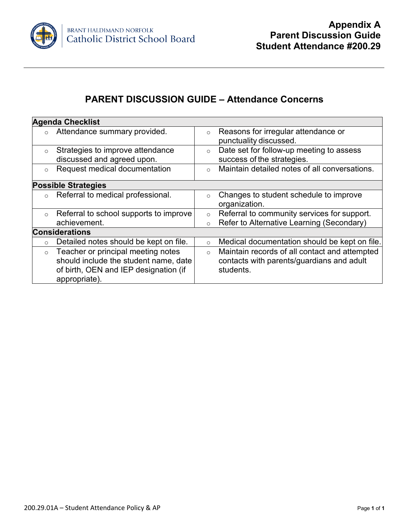

# **PARENT DISCUSSION GUIDE – Attendance Concerns**

|          | <b>Agenda Checklist</b>                |                                                     |                                               |  |
|----------|----------------------------------------|-----------------------------------------------------|-----------------------------------------------|--|
| $\circ$  | Attendance summary provided.           | $\circ$                                             | Reasons for irregular attendance or           |  |
|          |                                        |                                                     | punctuality discussed.                        |  |
| $\circ$  | Strategies to improve attendance       | Date set for follow-up meeting to assess<br>$\circ$ |                                               |  |
|          | discussed and agreed upon.             |                                                     | success of the strategies.                    |  |
| $\circ$  | Request medical documentation          | $\circ$                                             | Maintain detailed notes of all conversations. |  |
|          | <b>Possible Strategies</b>             |                                                     |                                               |  |
| $\Omega$ | Referral to medical professional.      | $\circ$                                             | Changes to student schedule to improve        |  |
|          |                                        |                                                     | organization.                                 |  |
| $\circ$  | Referral to school supports to improve | $\circ$                                             | Referral to community services for support.   |  |
|          | achievement.                           | $\circ$                                             | Refer to Alternative Learning (Secondary)     |  |
|          | <b>Considerations</b>                  |                                                     |                                               |  |
| $\circ$  | Detailed notes should be kept on file. | $\circ$                                             | Medical documentation should be kept on file. |  |
| $\circ$  | Teacher or principal meeting notes     | $\circ$                                             | Maintain records of all contact and attempted |  |
|          | should include the student name, date  |                                                     | contacts with parents/guardians and adult     |  |
|          | of birth, OEN and IEP designation (if  |                                                     | students.                                     |  |
|          | appropriate).                          |                                                     |                                               |  |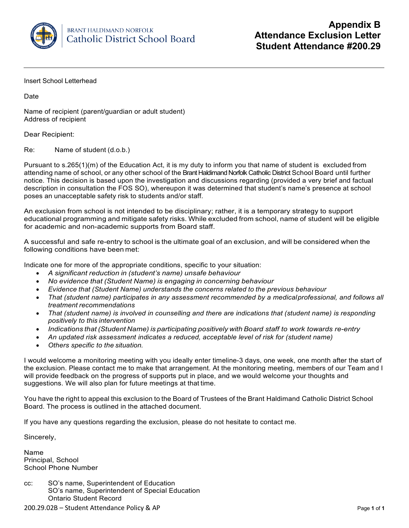

Insert School Letterhead

Date

Name of recipient (parent/guardian or adult student) Address of recipient

Dear Recipient:

Re: Name of student (d.o.b.)

Pursuant to s.265(1)(m) of the Education Act, it is my duty to inform you that name of student is excluded from attending name of school, or any other school of the Brant Haldimand Norfolk Catholic District School Board until further notice. This decision is based upon the investigation and discussions regarding (provided a very brief and factual description in consultation the FOS SO), whereupon it was determined that student's name's presence at school poses an unacceptable safety risk to students and/or staff.

An exclusion from school is not intended to be disciplinary; rather, it is a temporary strategy to support educational programming and mitigate safety risks. While excluded from school, name of student will be eligible for academic and non-academic supports from Board staff.

A successful and safe re-entry to school is the ultimate goal of an exclusion, and will be considered when the following conditions have been met:

Indicate one for more of the appropriate conditions, specific to your situation:

- *A significant reduction in (student's name) unsafe behaviour*
- *No evidence that (Student Name) is engaging in concerning behaviour*
- *Evidence that (Student Name) understands the concerns related to the previous behaviour*
- *That (student name) participates in any assessment recommended by a medicalprofessional, and follows all treatment recommendations*
- *That (student name) is involved in counselling and there are indications that (student name) is responding positively to this intervention*
- *Indications that (Student Name) is participating positively with Board staff to work towards re-entry*
- *An updated risk assessment indicates a reduced, acceptable level of risk for (student name)*
- *Others specific to the situation.*

I would welcome a monitoring meeting with you ideally enter timeline-3 days, one week, one month after the start of the exclusion. Please contact me to make that arrangement. At the monitoring meeting, members of our Team and I will provide feedback on the progress of supports put in place, and we would welcome your thoughts and suggestions. We will also plan for future meetings at that time.

You have the right to appeal this exclusion to the Board of Trustees of the Brant Haldimand Catholic District School Board. The process is outlined in the attached document.

If you have any questions regarding the exclusion, please do not hesitate to contact me.

Sincerely,

Name Principal, School School Phone Number

cc: SO's name, Superintendent of Education SO's name, Superintendent of Special Education Ontario Student Record

200.29.02B – Student Attendance Policy & AP Page **1** of **1**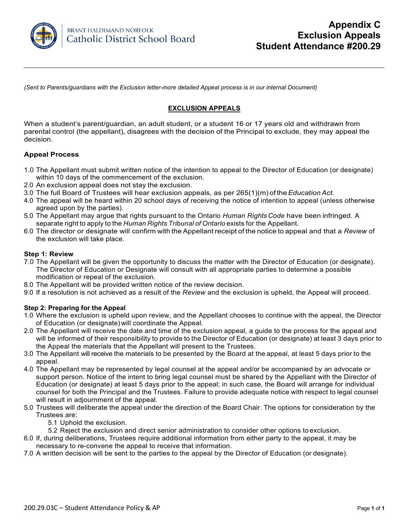

*(Sent to Parents/guardians with the Exclusion letter-more detailed Appeal process is in our internal Document)*

## **EXCLUSION APPEALS**

When a student's parent/guardian, an adult student, or a student 16 or 17 years old and withdrawn from parental control (the appellant), disagrees with the decision of the Principal to exclude, they may appeal the decision.

## **Appeal Process**

- 1.0 The Appellant must submit written notice of the intention to appeal to the Director of Education (or designate) within 10 days of the commencement of the exclusion.
- 2.0 An exclusion appeal does not stay the exclusion.
- 3.0 The full Board of Trustees will hear exclusion appeals, as per 265(1)(m) of the*EducationAct.*
- 4.0 The appeal will be heard within 20 school days of receiving the notice of intention to appeal (unless otherwise agreed upon by the parties).
- 5.0 The Appellant may argue that rights pursuant to the Ontario *Human RightsCode* have been infringed. A separate right to apply to the *Human Rights Tribunal of Ontario* exists for the Appellant.
- 6.0 The director or designate will confirm with the Appellant receipt of the notice to appeal and that a *Review* of the exclusion will take place.

#### **Step 1: Review**

- 7.0 The Appellant will be given the opportunity to discuss the matter with the Director of Education (or designate). The Director of Education or Designate will consult with all appropriate parties to determine a possible modification or repeal of the exclusion.
- 8.0 The Appellant will be provided written notice of the review decision.
- 9.0 If a resolution is not achieved as a result of the *Review* and the exclusion is upheld, the Appeal will proceed.

## **Step 2: Preparing for the Appeal**

- 1.0 Where the exclusion is upheld upon review, and the Appellant chooses to continue with the appeal, the Director of Education (or designate) will coordinate the Appeal.
- 2.0 The Appellant will receive the date and time of the exclusion appeal, a guide to the process for the appeal and will be informed of their responsibility to provide to the Director of Education (or designate) at least 3 days prior to the Appeal the materials that the Appellant will present to the Trustees.
- 3.0 The Appellant will receive the materials to be presented by the Board at the appeal, at least 5 days prior to the appeal.
- 4.0 The Appellant may be represented by legal counsel at the appeal and/or be accompanied by an advocate or support person. Notice of the intent to bring legal counsel must be shared by the Appellant with the Director of Education (or designate) at least 5 days prior to the appeal; in such case, the Board will arrange for individual counsel for both the Principal and the Trustees. Failure to provide adequate notice with respect to legal counsel will result in adjournment of the appeal.
- 5.0 Trustees will deliberate the appeal under the direction of the Board Chair. The options for consideration by the Trustees are:
	- 5.1 Uphold the exclusion.
	- 5.2 Reject the exclusion and direct senior administration to consider other options to exclusion.
- 6.0 If, during deliberations, Trustees require additional information from either party to the appeal, it may be necessary to re-convene the appeal to receive that information.
- 7.0 A written decision will be sent to the parties to the appeal by the Director of Education (or designate).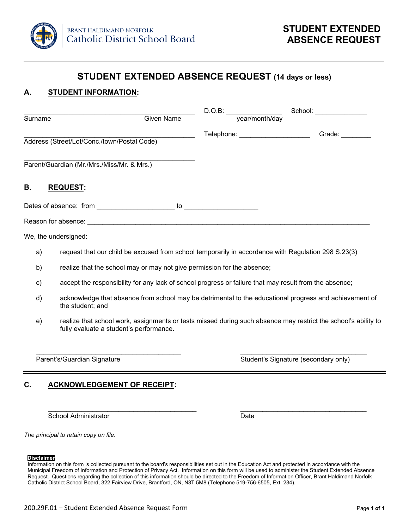

## **STUDENT EXTENDED ABSENCE REQUEST (14 days or less)**

## **A. STUDENT INFORMATION:**

| Surname                                     | <b>Given Name</b> | D.O.B:<br>year/month/day    | School: |
|---------------------------------------------|-------------------|-----------------------------|---------|
| Address (Street/Lot/Conc./town/Postal Code) |                   | Telephone: ________________ | Grade:  |
| Parent/Guardian (Mr./Mrs./Miss/Mr. & Mrs.)  |                   |                             |         |
| В.<br><b>REQUEST:</b>                       |                   |                             |         |
| Dates of absence: from                      | to                |                             |         |
| Reason for absence:                         |                   |                             |         |

We, the undersigned:

- a) request that our child be excused from school temporarily in accordance with Regulation 298 S.23(3)
- b) realize that the school may or may not give permission for the absence;
- c) accept the responsibility for any lack of school progress or failure that may result from the absence;
- d) acknowledge that absence from school may be detrimental to the educational progress and achievement of the student; and
- e) realize that school work, assignments or tests missed during such absence may restrict the school's ability to fully evaluate a student's performance.

\_\_\_\_\_\_\_\_\_\_\_\_\_\_\_\_\_\_\_\_\_\_\_\_\_\_\_\_\_\_\_\_\_\_\_\_\_\_\_ \_\_\_\_\_\_\_\_\_\_\_\_\_\_\_\_\_\_\_\_\_\_\_\_\_\_\_\_\_\_\_\_\_\_ Parent's/Guardian Signature Student's Signature (secondary only)

## **C. ACKNOWLEDGEMENT OF RECEIPT:**

\_\_\_\_\_\_\_\_\_\_\_\_\_\_\_\_\_\_\_\_\_\_\_\_\_\_\_\_\_\_\_\_\_\_\_\_\_\_\_\_ \_\_\_\_\_\_\_\_\_\_\_\_\_\_\_\_\_\_\_\_\_\_\_\_\_\_\_\_\_\_\_\_\_\_ School Administrator **Date** 

*The principal to retain copy on file.* 

#### **Disclaimer**

Information on this form is collected pursuant to the board's responsibilities set out in the Education Act and protected in accordance with the Municipal Freedom of Information and Protection of Privacy Act. Information on this form will be used to administer the Student Extended Absence Request. Questions regarding the collection of this information should be directed to the Freedom of Information Officer, Brant Haldimand Norfolk Catholic District School Board, 322 Fairview Drive, Brantford, ON, N3T 5M8 (Telephone 519-756-6505, Ext. 234).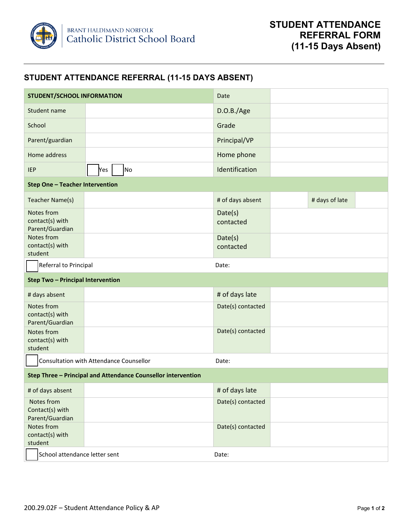

## **STUDENT ATTENDANCE REFERRAL (11-15 DAYS ABSENT)**

| <b>STUDENT/SCHOOL INFORMATION</b>                             |           | Date                 |                |  |
|---------------------------------------------------------------|-----------|----------------------|----------------|--|
| Student name                                                  |           | D.O.B./Age           |                |  |
| School                                                        |           | Grade                |                |  |
| Parent/guardian                                               |           | Principal/VP         |                |  |
| Home address                                                  |           | Home phone           |                |  |
| <b>IEP</b>                                                    | No<br>Yes | Identification       |                |  |
| <b>Step One - Teacher Intervention</b>                        |           |                      |                |  |
| Teacher Name(s)                                               |           | # of days absent     | # days of late |  |
| Notes from<br>contact(s) with<br>Parent/Guardian              |           | Date(s)<br>contacted |                |  |
| Notes from<br>contact(s) with<br>student                      |           | Date(s)<br>contacted |                |  |
| Referral to Principal                                         |           | Date:                |                |  |
| <b>Step Two - Principal Intervention</b>                      |           |                      |                |  |
| # days absent                                                 |           | # of days late       |                |  |
| Notes from<br>contact(s) with<br>Parent/Guardian              |           | Date(s) contacted    |                |  |
| Notes from<br>contact(s) with<br>student                      |           | Date(s) contacted    |                |  |
| Consultation with Attendance Counsellor<br>Date:              |           |                      |                |  |
| Step Three - Principal and Attendance Counsellor intervention |           |                      |                |  |
| # of days absent                                              |           | # of days late       |                |  |
| Notes from<br>Contact(s) with<br>Parent/Guardian              |           | Date(s) contacted    |                |  |
| Notes from<br>contact(s) with<br>student                      |           | Date(s) contacted    |                |  |
| School attendance letter sent                                 |           | Date:                |                |  |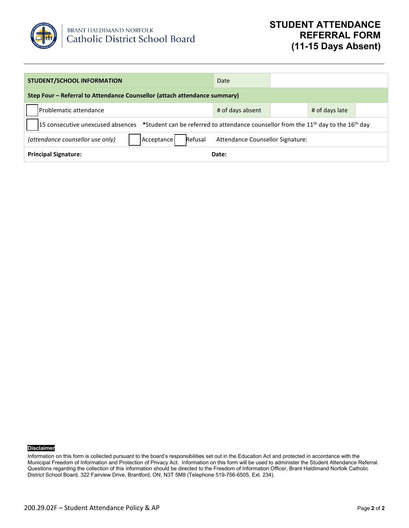

| <b>STUDENT/SCHOOL INFORMATION</b>                                                                                               | Date             |  |                |  |  |  |
|---------------------------------------------------------------------------------------------------------------------------------|------------------|--|----------------|--|--|--|
| Step Four - Referral to Attendance Counsellor (attach attendance summary)                                                       |                  |  |                |  |  |  |
| lProblematic attendance                                                                                                         | # of days absent |  | # of days late |  |  |  |
| 15 consecutive unexcused absences *Student can be referred to attendance counsellor from the $11^{th}$ day to the $16^{th}$ day |                  |  |                |  |  |  |
| Refusal<br>(attendance counsellor use only)<br>Attendance Counsellor Signature:<br>Acceptance                                   |                  |  |                |  |  |  |
| <b>Principal Signature:</b><br>Date:                                                                                            |                  |  |                |  |  |  |

### **Disclaimer**

Information on this form is collected pursuant to the board's responsibilities set out in the Education Act and protected in accordance with the Municipal Freedom of Information and Protection of Privacy Act. Information on this form will be used to administer the Student Attendance Referral. Questions regarding the collection of this information should be directed to the Freedom of Information Officer, Brant Haldimand Norfolk Catholic District School Board, 322 Fairview Drive, Brantford, ON, N3T 5M8 (Telephone 519-756-6505, Ext. 234).